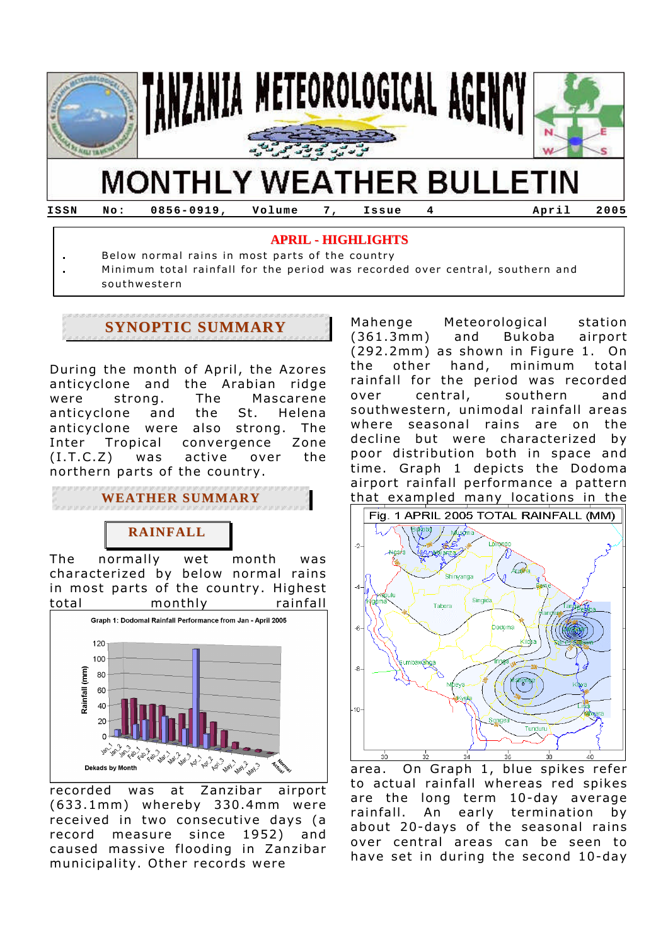

# **MONTHLY WEATHER BULLETIN**

**ISSN No: 0856-0919, Volume 7, Issue 4 April 2005**

#### **APRIL - HIGHLIGHTS**

- **.** Below normal rains in most parts of the country
- **.** Minimum total rainfall for the period was recorded over central, southern and southwestern

# **SYNOPTIC SUMMARY**

During the month of April, the Azores anticyclone and the Arabian ridge were strong. The Mascarene anticyclone and the St. Helena anticyclone were also strong. The Inter Tropical convergence Zone (I.T.C.Z) was active over the northern parts of the country.

**WEATHER SUMMARY**

## **RAINFALL**

The normally wet month was characterized by below normal rains in most parts of the country. Highest total monthly rainfall



recorded was at Zanzibar airport (633.1mm) whereby 330.4mm were received in two consecutive days (a record measure since 1952) and caused massive flooding in Zanzibar municipality. Other records were

Mahenge Meteorological station (361.3mm) and Bukoba airport (292.2mm) as shown in Figure 1. On the other hand, minimum total rainfall for the period was recorded over central, southern and southwestern, unimodal rainfall areas where seasonal rains are on the decline but were characterized by poor distribution both in space and time. Graph 1 depicts the Dodoma airport rainfall performance a pattern that exampled many locations in the



area. On Graph 1, blue spikes refer to actual rainfall whereas red spikes are the long term 10-day average rainfall. An early termination by about 20-days of the seasonal rains over central areas can be seen to have set in during the second 10-day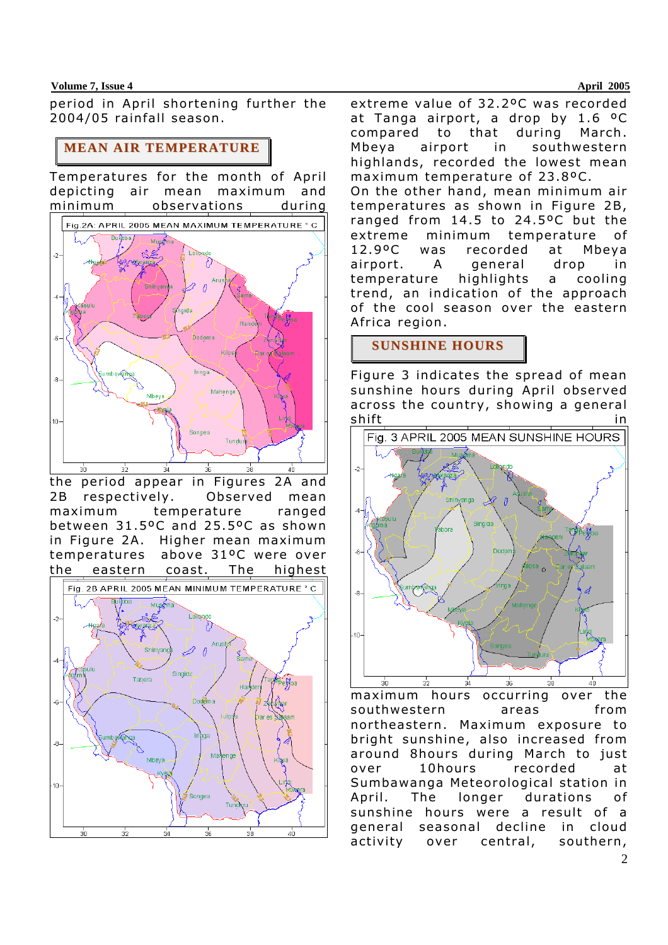#### **Volume 7, Issue 4 April 2005**

period in April shortening further the 2004/05 rainfall season.

### **MEAN AIR TEMPERATURE**

Temperatures for the month of April depicting air mean maximum and minimum observations during



the period appear in Figures 2A and 2B respectively. Observed mean maximum temperature ranged between 31.5ºC and 25.5ºC as shown in Figure 2A. Higher mean maximum temperatures above 31ºC were over the eastern coast. The highest



extreme value of 32.2ºC was recorded at Tanga airport, a drop by 1.6 ºC compared to that during March. Mbeya airport in southwestern highlands, recorded the lowest mean maximum temperature of 23.8ºC. On the other hand, mean minimum air temperatures as shown in Figure 2B, ranged from 14.5 to 24.5ºC but the extreme minimum temperature of 12.9ºC was recorded at Mbeya airport. A general drop in temperature highlights a cooling trend, an indication of the approach of the cool season over the eastern Africa region.

## **SUNSHINE HOURS**

Figure 3 indicates the spread of mean sunshine hours during April observed across the country, showing a general shift in the state of  $\sim$  in the state  $\sim$ 



maximum hours occurring over the southwestern areas from northeastern. Maximum exposure to bright sunshine, also increased from around 8hours during March to just over 10hours recorded at Sumbawanga Meteorological station in April. The longer durations of sunshine hours were a result of a general seasonal decline in cloud activity over central, southern,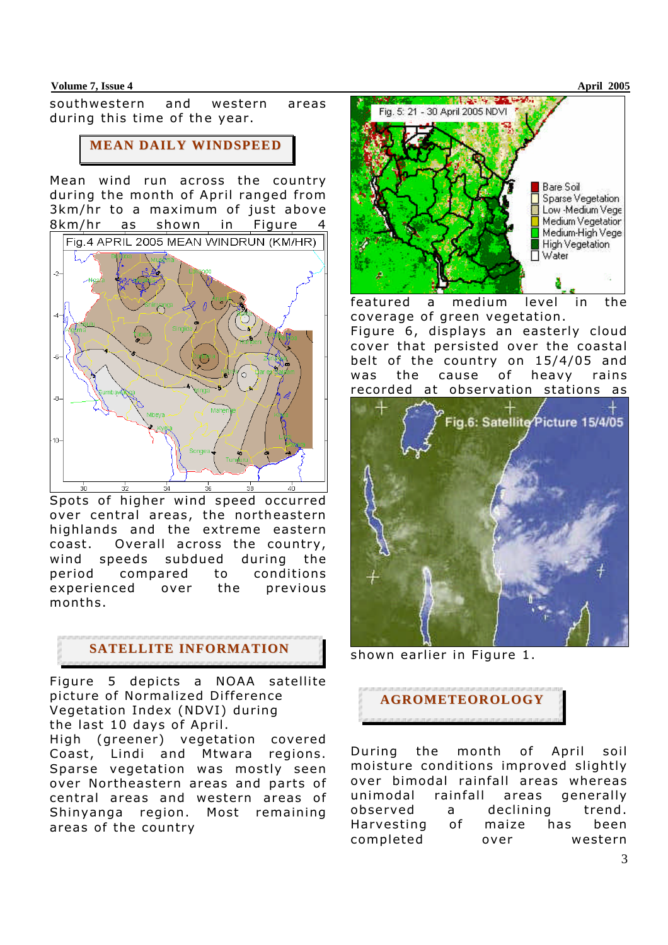#### **Volume 7, Issue 4 April 2005**

southwestern and western areas during this time of the year.

### **MEAN DAILY WINDSPEED**

Mean wind run across the country during the month of April ranged from 3km/hr to a maximum of just above 8km/hr as shown in Figure



Spots of higher wind speed occurred over central areas, the northeastern highlands and the extreme eastern coast. Overall across the country, wind speeds subdued during the period compared to conditions experienced over the previous months.

## **SATELLITE INFORMATION**

Figure 5 depicts a NOAA satellite picture of Normalized Difference Vegetation Index (NDVI) during the last 10 days of April. High (greener) vegetation covered Coast, Lindi and Mtwara regions. Sparse vegetation was mostly seen over Northeastern areas and parts of central areas and western areas of Shinyanga region. Most remaining areas of the country



featured a medium level in the coverage of green vegetation.

Figure 6, displays an easterly cloud cover that persisted over the coastal belt of the country on 15/4/05 and was the cause of heavy rains recorded at observation stations as



shown earlier in Figure 1.



During the month of April soil moisture conditions improved slightly over bimodal rainfall areas whereas unimodal rainfall areas generally observed a declining trend. Harvesting of maize has been completed over western